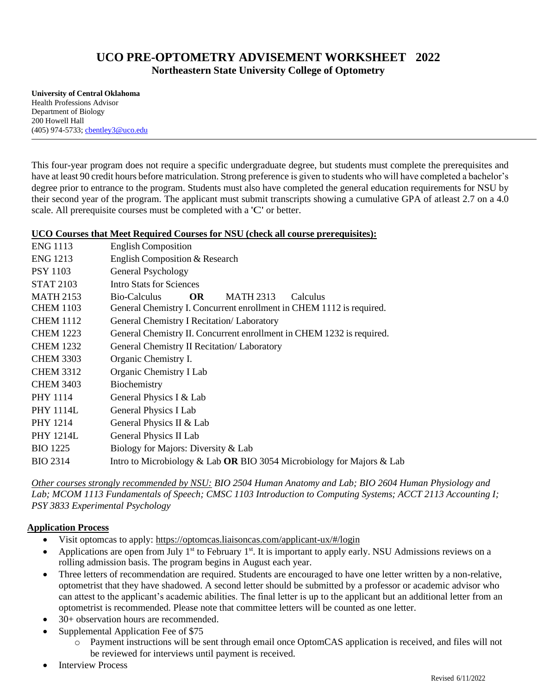# **UCO PRE-OPTOMETRY ADVISEMENT WORKSHEET 2022 Northeastern State University College of Optometry**

**University of Central Oklahoma** Health Professions Advisor Department of Biology 200 Howell Hall (405) 974-5733; [cbentley3@uco.edu](mailto:cbentley3@uco.edu)

This four-year program does not require a specific undergraduate degree, but students must complete the prerequisites and have at least 90 credit hours before matriculation. Strong preference is given to students who will have completed a bachelor's degree prior to entrance to the program. Students must also have completed the general education requirements for NSU by their second year of the program. The applicant must submit transcripts showing a cumulative GPA of at least 2.7 on a 4.0 scale. All prerequisite courses must be completed with a 'C' or better.

## **UCO Courses that Meet Required Courses for NSU (check all course prerequisites):**

| <b>ENG 1113</b>  | <b>English Composition</b>                                            |
|------------------|-----------------------------------------------------------------------|
| <b>ENG 1213</b>  | English Composition & Research                                        |
| <b>PSY 1103</b>  | General Psychology                                                    |
| <b>STAT 2103</b> | <b>Intro Stats for Sciences</b>                                       |
| <b>MATH 2153</b> | Bio-Calculus<br>OR.<br><b>MATH 2313</b><br>Calculus                   |
| <b>CHEM 1103</b> | General Chemistry I. Concurrent enrollment in CHEM 1112 is required.  |
| <b>CHEM 1112</b> | General Chemistry I Recitation/ Laboratory                            |
| <b>CHEM 1223</b> | General Chemistry II. Concurrent enrollment in CHEM 1232 is required. |
| <b>CHEM 1232</b> | General Chemistry II Recitation/ Laboratory                           |
| <b>CHEM 3303</b> | Organic Chemistry I.                                                  |
| <b>CHEM 3312</b> | Organic Chemistry I Lab                                               |
| <b>CHEM 3403</b> | Biochemistry                                                          |
| <b>PHY 1114</b>  | General Physics I & Lab                                               |
| <b>PHY 1114L</b> | General Physics I Lab                                                 |
| <b>PHY 1214</b>  | General Physics II & Lab                                              |
| <b>PHY 1214L</b> | General Physics II Lab                                                |
| <b>BIO</b> 1225  | Biology for Majors: Diversity & Lab                                   |
| <b>BIO 2314</b>  | Intro to Microbiology & Lab OR BIO 3054 Microbiology for Majors & Lab |

*Other courses strongly recommended by NSU: BIO 2504 Human Anatomy and Lab; BIO 2604 Human Physiology and Lab; MCOM 1113 Fundamentals of Speech; CMSC 1103 Introduction to Computing Systems; ACCT 2113 Accounting I; PSY 3833 Experimental Psychology*

## **Application Process**

- Visit optomcas to apply:<https://optomcas.liaisoncas.com/applicant-ux/#/login>
- Applications are open from July  $1<sup>st</sup>$  to February  $1<sup>st</sup>$ . It is important to apply early. NSU Admissions reviews on a rolling admission basis. The program begins in August each year.
- Three letters of recommendation are required. Students are encouraged to have one letter written by a non-relative, optometrist that they have shadowed. A second letter should be submitted by a professor or academic advisor who can attest to the applicant's academic abilities. The final letter is up to the applicant but an additional letter from an optometrist is recommended. Please note that committee letters will be counted as one letter.
- 30+ observation hours are recommended.
- Supplemental Application Fee of \$75
	- o Payment instructions will be sent through email once OptomCAS application is received, and files will not be reviewed for interviews until payment is received.
- **Interview Process**